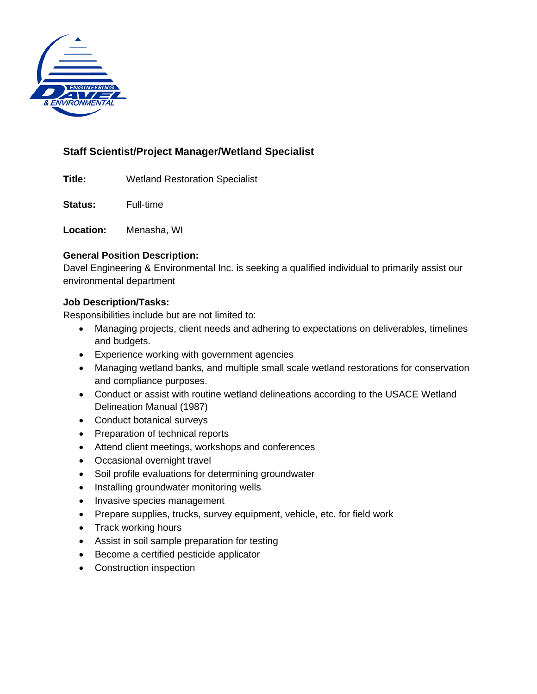

# **Staff Scientist/Project Manager/Wetland Specialist**

**Title:** Wetland Restoration Specialist

**Status:** Full-time

**Location:** Menasha, WI

# **General Position Description:**

Davel Engineering & Environmental Inc. is seeking a qualified individual to primarily assist our environmental department

# **Job Description/Tasks:**

Responsibilities include but are not limited to:

- Managing projects, client needs and adhering to expectations on deliverables, timelines and budgets.
- Experience working with government agencies
- Managing wetland banks, and multiple small scale wetland restorations for conservation and compliance purposes.
- Conduct or assist with routine wetland delineations according to the USACE Wetland Delineation Manual (1987)
- Conduct botanical surveys
- Preparation of technical reports
- Attend client meetings, workshops and conferences
- Occasional overnight travel
- Soil profile evaluations for determining groundwater
- Installing groundwater monitoring wells
- Invasive species management
- Prepare supplies, trucks, survey equipment, vehicle, etc. for field work
- Track working hours
- Assist in soil sample preparation for testing
- Become a certified pesticide applicator
- Construction inspection